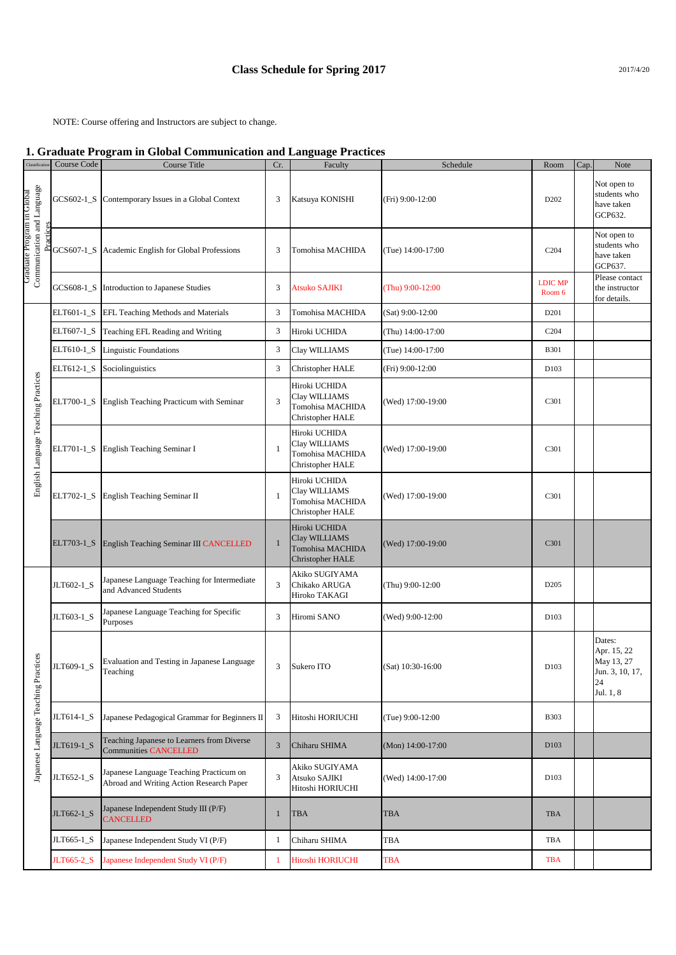NOTE: Course offering and Instructors are subject to change.

## **1. Graduate Program in Global Communication and Language Practices**

| Classification                                           | Course Code | 0<br>Course Title                                                                   | Cr.            | o<br>$\overline{\phantom{a}}$<br>Faculty                               | Schedule          | Room                     | Cap. | Note                                                                      |
|----------------------------------------------------------|-------------|-------------------------------------------------------------------------------------|----------------|------------------------------------------------------------------------|-------------------|--------------------------|------|---------------------------------------------------------------------------|
| Graduate Program in Global<br>Communication and Language | GCS602-1_S  | Contemporary Issues in a Global Context                                             | $\mathfrak{Z}$ | Katsuya KONISHI                                                        | (Fri) 9:00-12:00  | D <sub>202</sub>         |      | Not open to<br>students who<br>have taken<br>GCP632.                      |
|                                                          | GCS607-1_S  | Academic English for Global Professions                                             | 3              | Tomohisa MACHIDA                                                       | (Tue) 14:00-17:00 | C <sub>204</sub>         |      | Not open to<br>students who<br>have taken<br>GCP637.                      |
|                                                          | GCS608-1_S  | Introduction to Japanese Studies                                                    | $\mathfrak{Z}$ | <b>Atsuko SAJIKI</b>                                                   | (Thu) 9:00-12:00  | <b>LDIC MP</b><br>Room 6 |      | Please contact<br>the instructor<br>for details.                          |
| English Language Teaching Practices                      | ELT601-1_S  | EFL Teaching Methods and Materials                                                  | 3              | Tomohisa MACHIDA                                                       | (Sat) 9:00-12:00  | D201                     |      |                                                                           |
|                                                          | ELT607-1_S  | Teaching EFL Reading and Writing                                                    | 3              | Hiroki UCHIDA                                                          | (Thu) 14:00-17:00 | C <sub>204</sub>         |      |                                                                           |
|                                                          | ELT610-1_S  | <b>Linguistic Foundations</b>                                                       | 3              | Clay WILLIAMS                                                          | (Tue) 14:00-17:00 | <b>B301</b>              |      |                                                                           |
|                                                          | ELT612-1_S  | Sociolinguistics                                                                    | 3              | Christopher HALE                                                       | (Fri) 9:00-12:00  | D <sub>103</sub>         |      |                                                                           |
|                                                          | ELT700-1_S  | English Teaching Practicum with Seminar                                             | 3              | Hiroki UCHIDA<br>Clay WILLIAMS<br>Tomohisa MACHIDA<br>Christopher HALE | (Wed) 17:00-19:00 | C301                     |      |                                                                           |
|                                                          | ELT701-1_S  | English Teaching Seminar I                                                          | -1             | Hiroki UCHIDA<br>Clay WILLIAMS<br>Tomohisa MACHIDA<br>Christopher HALE | (Wed) 17:00-19:00 | C301                     |      |                                                                           |
|                                                          | ELT702-1_S  | English Teaching Seminar II                                                         | -1             | Hiroki UCHIDA<br>Clay WILLIAMS<br>Tomohisa MACHIDA<br>Christopher HALE | (Wed) 17:00-19:00 | C301                     |      |                                                                           |
|                                                          | ELT703-1_S  | English Teaching Seminar III CANCELLED                                              | $\mathbf{1}$   | Hiroki UCHIDA<br>Clay WILLIAMS<br>Tomohisa MACHIDA<br>Christopher HALE | (Wed) 17:00-19:00 | C301                     |      |                                                                           |
| ces<br>Japanese Language Teaching Practi                 | JLT602-1_S  | Japanese Language Teaching for Intermediate<br>and Advanced Students                | 3              | Akiko SUGIYAMA<br>Chikako ARUGA<br>Hiroko TAKAGI                       | (Thu) 9:00-12:00  | D <sub>205</sub>         |      |                                                                           |
|                                                          | JLT603-1_S  | Japanese Language Teaching for Specific<br>Purposes                                 | 3              | Hiromi SANO                                                            | (Wed) 9:00-12:00  | D <sub>103</sub>         |      |                                                                           |
|                                                          | JLT609-1_S  | Evaluation and Testing in Japanese Language<br>Teaching                             | $\mathfrak{Z}$ | Sukero ITO                                                             | (Sat) 10:30-16:00 | D103                     |      | Dates:<br>Apr. 15, 22<br>May 13, 27<br>Jun. 3, 10, 17,<br>24<br>Jul. 1, 8 |
|                                                          | JLT614-1_S  | Japanese Pedagogical Grammar for Beginners II                                       | 3              | Hitoshi HORIUCHI                                                       | (Tue) 9:00-12:00  | <b>B303</b>              |      |                                                                           |
|                                                          | JLT619-1_S  | Teaching Japanese to Learners from Diverse<br><b>Communities CANCELLED</b>          | $\mathfrak{Z}$ | Chiharu SHIMA                                                          | (Mon) 14:00-17:00 | D103                     |      |                                                                           |
|                                                          | JLT652-1_S  | Japanese Language Teaching Practicum on<br>Abroad and Writing Action Research Paper | 3              | Akiko SUGIYAMA<br>Atsuko SAJIKI<br>Hitoshi HORIUCHI                    | (Wed) 14:00-17:00 | D103                     |      |                                                                           |
|                                                          | JLT662-1_S  | Japanese Independent Study III (P/F)<br><b>CANCELLED</b>                            | $\mathbf{1}$   | <b>TBA</b>                                                             | TBA               | <b>TBA</b>               |      |                                                                           |
|                                                          | JLT665-1_S  | Japanese Independent Study VI (P/F)                                                 | $\mathbf{1}$   | Chiharu SHIMA                                                          | TBA               | TBA                      |      |                                                                           |
|                                                          | JLT665-2_S  | Japanese Independent Study VI (P/F)                                                 | 1              | Hitoshi HORIUCHI                                                       | TBA               | <b>TBA</b>               |      |                                                                           |